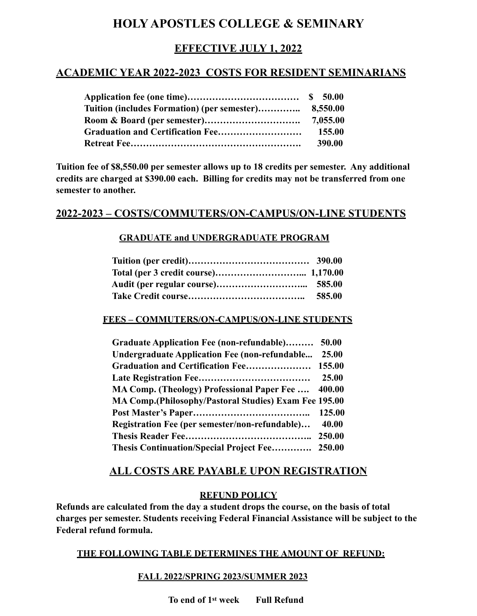# **HOLY APOSTLES COLLEGE & SEMINARY**

# **EFFECTIVE JULY 1, 2022**

## **ACADEMIC YEAR 2022-2023 COSTS FOR RESIDENT SEMINARIANS**

| Tuition (includes Formation) (per semester) | 8,550.00 |
|---------------------------------------------|----------|
|                                             |          |
|                                             | 155.00   |
|                                             | 390.00   |

**Tuition fee of \$8,550.00 per semester allows up to 18 credits per semester. Any additional credits are charged at \$390.00 each. Billing for credits may not be transferred from one semester to another.**

## **2022-2023 – COSTS/COMMUTERS/ON-CAMPUS/ON-LINE STUDENTS**

### **GRADUATE and UNDERGRADUATE PROGRAM**

| 585.00 |
|--------|

### **FEES – COMMUTERS/ON-CAMPUS/ON-LINE STUDENTS**

| Graduate Application Fee (non-refundable) 50.00        |        |
|--------------------------------------------------------|--------|
| Undergraduate Application Fee (non-refundable          | 25.00  |
|                                                        |        |
|                                                        | 25.00  |
| MA Comp. (Theology) Professional Paper Fee  400.00     |        |
| MA Comp. (Philosophy/Pastoral Studies) Exam Fee 195.00 |        |
|                                                        | 125.00 |
| Registration Fee (per semester/non-refundable)         | 40.00  |
|                                                        |        |
| Thesis Continuation/Special Project Fee 250.00         |        |

### **ALL COSTS ARE PAYABLE UPON REGISTRATION**

#### **REFUND POLICY**

**Refunds are calculated from the day a student drops the course, on the basis of total charges per semester. Students receiving Federal Financial Assistance will be subject to the Federal refund formula.**

### **THE FOLLOWING TABLE DETERMINES THE AMOUNT OF REFUND:**

#### **FALL 2022/SPRING 2023/SUMMER 2023**

**To end of 1st week Full Refund**